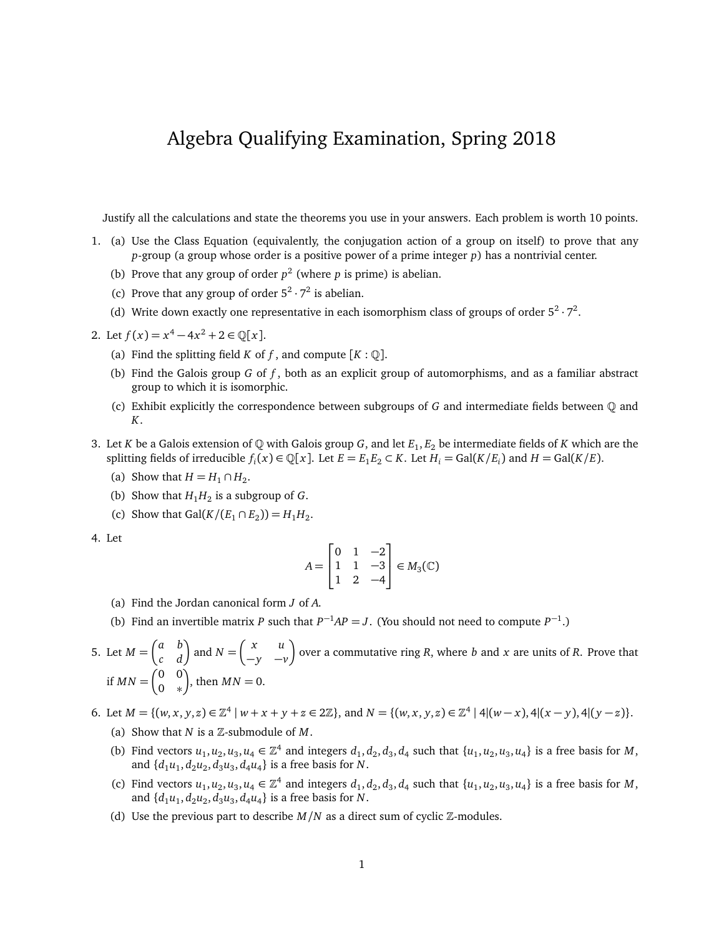## Algebra Qualifying Examination, Spring 2018

Justify all the calculations and state the theorems you use in your answers. Each problem is worth 10 points.

- 1. (a) Use the Class Equation (equivalently, the conjugation action of a group on itself) to prove that any *p*-group (a group whose order is a positive power of a prime integer *p*) has a nontrivial center.
	- (b) Prove that any group of order  $p^2$  (where p is prime) is abelian.
	- (c) Prove that any group of order  $5^2 \cdot 7^2$  is abelian.
	- (d) Write down exactly one representative in each isomorphism class of groups of order  $5^2 \cdot 7^2$ .
- 2. Let  $f(x) = x^4 4x^2 + 2 \in \mathbb{Q}[x]$ .
	- (a) Find the splitting field *K* of *f*, and compute  $[K : \mathbb{Q}]$ .
	- (b) Find the Galois group *G* of *f* , both as an explicit group of automorphisms, and as a familiar abstract group to which it is isomorphic.
	- (c) Exhibit explicitly the correspondence between subgroups of *G* and intermediate fields between Q and *K*.
- 3. Let *K* be a Galois extension of Q with Galois group *G*, and let *E*<sup>1</sup> , *E*<sup>2</sup> be intermediate fields of *K* which are the splitting fields of irreducible  $f_i(x) \in \mathbb{Q}[x]$ . Let  $E = E_1 E_2 \subset K$ . Let  $H_i = \text{Gal}(K/E_i)$  and  $H = \text{Gal}(K/E)$ .
	- (a) Show that  $H = H_1 \cap H_2$ .
	- (b) Show that  $H_1H_2$  is a subgroup of *G*.
	- (c) Show that  $Gal(K/(E_1 \cap E_2)) = H_1H_2$ .
- 4. Let

$$
A = \begin{bmatrix} 0 & 1 & -2 \\ 1 & 1 & -3 \\ 1 & 2 & -4 \end{bmatrix} \in M_3(\mathbb{C})
$$

- (a) Find the Jordan canonical form *J* of *A*.
- (b) Find an invertible matrix *P* such that  $P^{-1}AP = J$ . (You should not need to compute  $P^{-1}$ .)
- 5. Let  $M = \begin{pmatrix} a & b \\ c & d \end{pmatrix}$  and  $N = \begin{pmatrix} x & u \\ -y & -1 \end{pmatrix}$ −*y* −*v* over a commutative ring *R*, where *b* and *x* are units of *R*. Prove that if  $MN = \begin{pmatrix} 0 & 0 \\ 0 & x \end{pmatrix}$ 0 ∗ ), then  $MN = 0$ .

6. Let  $M = \{(w, x, y, z) \in \mathbb{Z}^4 \mid w + x + y + z \in 2\mathbb{Z}\}$ , and  $N = \{(w, x, y, z) \in \mathbb{Z}^4 \mid 4 | (w - x), 4 | (x - y), 4 | (y - z)\}.$ 

- (a) Show that  $N$  is a  $\mathbb{Z}$ -submodule of  $M$ .
- (b) Find vectors  $u_1, u_2, u_3, u_4 \in \mathbb{Z}^4$  and integers  $d_1, d_2, d_3, d_4$  such that  $\{u_1, u_2, u_3, u_4\}$  is a free basis for *M*, and  $\{d_1u_1, d_2u_2, d_3u_3, d_4u_4\}$  is a free basis for *N*.
- (c) Find vectors  $u_1, u_2, u_3, u_4 \in \mathbb{Z}^4$  and integers  $d_1, d_2, d_3, d_4$  such that  $\{u_1, u_2, u_3, u_4\}$  is a free basis for *M*, and  $\{d_1u_1, d_2u_2, d_3u_3, d_4u_4\}$  is a free basis for *N*.
- (d) Use the previous part to describe  $M/N$  as a direct sum of cyclic  $\mathbb{Z}$ -modules.